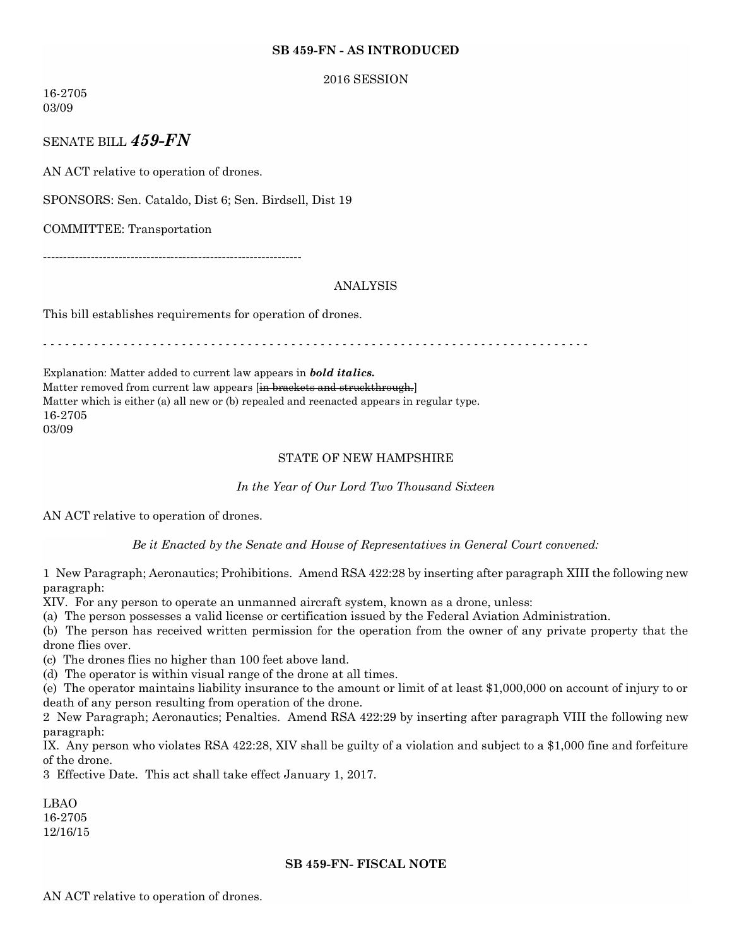## **SB 459-FN - AS INTRODUCED**

#### 2016 SESSION

16-2705 03/09

SENATE BILL *459-FN*

AN ACT relative to operation of drones.

SPONSORS: Sen. Cataldo, Dist 6; Sen. Birdsell, Dist 19

COMMITTEE: Transportation

-----------------------------------------------------------------

# ANALYSIS

This bill establishes requirements for operation of drones.

- - - - - - - - - - - - - - - - - - - - - - - - - - - - - - - - - - - - - - - - - - - - - - - - - - - - - - - - - - - - - - - - - - - - - - - - - - -

Explanation: Matter added to current law appears in *bold italics.* Matter removed from current law appears [in brackets and struckthrough.] Matter which is either (a) all new or (b) repealed and reenacted appears in regular type. 16-2705 03/09

# STATE OF NEW HAMPSHIRE

#### *In the Year of Our Lord Two Thousand Sixteen*

AN ACT relative to operation of drones.

*Be it Enacted by the Senate and House of Representatives in General Court convened:*

1 New Paragraph; Aeronautics; Prohibitions. Amend RSA 422:28 by inserting after paragraph XIII the following new paragraph:

XIV. For any person to operate an unmanned aircraft system, known as a drone, unless:

(a) The person possesses a valid license or certification issued by the Federal Aviation Administration.

(b) The person has received written permission for the operation from the owner of any private property that the drone flies over.

(c) The drones flies no higher than 100 feet above land.

(d) The operator is within visual range of the drone at all times.

(e) The operator maintains liability insurance to the amount or limit of at least \$1,000,000 on account of injury to or death of any person resulting from operation of the drone.

2 New Paragraph; Aeronautics; Penalties. Amend RSA 422:29 by inserting after paragraph VIII the following new paragraph:

IX. Any person who violates RSA 422:28, XIV shall be guilty of a violation and subject to a \$1,000 fine and forfeiture of the drone.

3 Effective Date. This act shall take effect January 1, 2017.

LBAO 16-2705 12/16/15

# **SB 459-FN- FISCAL NOTE**